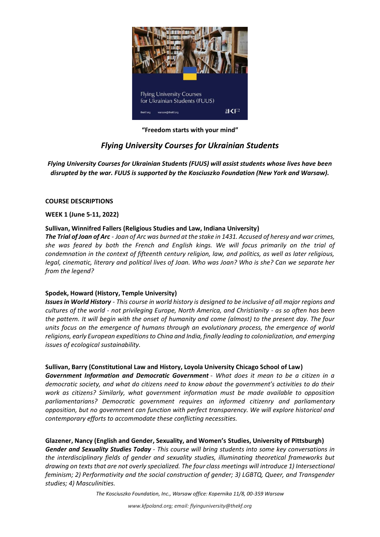

**"Freedom starts with your mind"**

# *Flying University Courses for Ukrainian Students*

*Flying University Courses for Ukrainian Students (FUUS) will assist students whose lives have been disrupted by the war. FUUS is supported by the Kosciuszko Foundation (New York and Warsaw).*

## **COURSE DESCRIPTIONS**

## **WEEK 1 (June 5-11, 2022)**

## **Sullivan, Winnifred Fallers (Religious Studies and Law, Indiana University)**

*The Trial of Joan of Arc - Joan of Arc was burned at the stake in 1431. Accused of heresy and war crimes, she was feared by both the French and English kings. We will focus primarily on the trial of condemnation in the context of fifteenth century religion, law, and politics, as well as later religious, legal, cinematic, literary and political lives of Joan. Who was Joan? Who is she? Can we separate her from the legend?* 

# **Spodek, Howard (History, Temple University)**

*Issues in World History - This course in world history is designed to be inclusive of all major regions and cultures of the world - not privileging Europe, North America, and Christianity - as so often has been the pattern. It will begin with the onset of humanity and come (almost) to the present day. The four units focus on the emergence of humans through an evolutionary process, the emergence of world religions, early European expeditions to China and India, finally leading to colonialization, and emerging issues of ecological sustainability.*

# **Sullivan, Barry (Constitutional Law and History, Loyola University Chicago School of Law)**

*Government Information and Democratic Government - What does it mean to be a citizen in a democratic society, and what do citizens need to know about the government's activities to do their work as citizens? Similarly, what government information must be made available to opposition parliamentarians? Democratic government requires an informed citizenry and parliamentary opposition, but no government can function with perfect transparency. We will explore historical and contemporary efforts to accommodate these conflicting necessities.*

# **Glazener, Nancy (English and Gender, Sexuality, and Women's Studies, University of Pittsburgh)**

*Gender and Sexuality Studies Today - This course will bring students into some key conversations in the interdisciplinary fields of gender and sexuality studies, illuminating theoretical frameworks but drawing on texts that are not overly specialized. The four class meetings will introduce 1) Intersectional feminism; 2) Performativity and the social construction of gender; 3) LGBTQ, Queer, and Transgender studies; 4) Masculinities.*

*The Kosciuszko Foundation, Inc., Warsaw office: Kopernika 11/8, 00-359 Warsaw*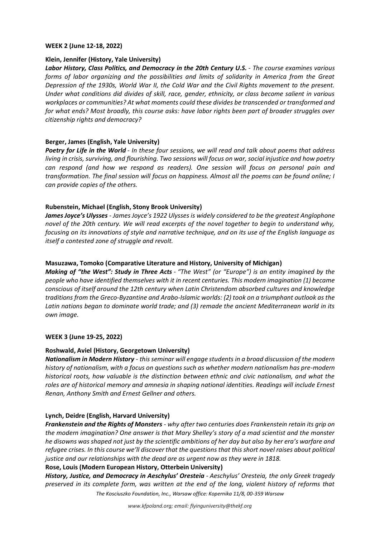#### **WEEK 2 (June 12-18, 2022)**

#### **Klein, Jennifer (History, Yale University)**

*Labor History, Class Politics, and Democracy in the 20th Century U.S. - The course examines various forms of labor organizing and the possibilities and limits of solidarity in America from the Great Depression of the 1930s, World War II, the Cold War and the Civil Rights movement to the present. Under what conditions did divides of skill, race, gender, ethnicity, or class become salient in various workplaces or communities? At what moments could these divides be transcended or transformed and for what ends? Most broadly, this course asks: have labor rights been part of broader struggles over citizenship rights and democracy?*

#### **Berger, James (English, Yale University)**

*Poetry for Life in the World - In these four sessions, we will read and talk about poems that address living in crisis, surviving, and flourishing. Two sessions will focus on war, social injustice and how poetry can respond (and how we respond as readers). One session will focus on personal pain and transformation. The final session will focus on happiness. Almost all the poems can be found online; I can provide copies of the others.*

#### **Rubenstein, Michael (English, Stony Brook University)**

*James Joyce's Ulysses - James Joyce's 1922 Ulysses is widely considered to be the greatest Anglophone novel of the 20th century. We will read excerpts of the novel together to begin to understand why, focusing on its innovations of style and narrative technique, and on its use of the English language as itself a contested zone of struggle and revolt.*

#### **Masuzawa, Tomoko (Comparative Literature and History, University of Michigan)**

*Making of "the West": Study in Three Acts - "The West" (or "Europe") is an entity imagined by the people who have identified themselves with it in recent centuries. This modern imagination (1) became conscious of itself around the 12th century when Latin Christendom absorbed cultures and knowledge traditions from the Greco-Byzantine and Arabo-Islamic worlds: (2) took on a triumphant outlook as the Latin nations began to dominate world trade; and (3) remade the ancient Mediterranean world in its own image.*

#### **WEEK 3 (June 19-25, 2022)**

#### **Roshwald, Aviel (History, Georgetown University)**

*Nationalism in Modern History* - *this seminar will engage students in a broad discussion of the modern history of nationalism, with a focus on questions such as whether modern nationalism has pre-modern historical roots, how valuable is the distinction between ethnic and civic nationalism, and what the roles are of historical memory and amnesia in shaping national identities. Readings will include Ernest Renan, Anthony Smith and Ernest Gellner and others.*

#### **Lynch, Deidre (English, Harvard University)**

*Frankenstein and the Rights of Monsters* - *why after two centuries does Frankenstein retain its grip on the modern imagination? One answer is that Mary Shelley's story of a mad scientist and the monster he disowns was shaped not just by the scientific ambitions of her day but also by her era's warfare and refugee crises. In this course we'll discover that the questions that this short novel raises about political justice and our relationships with the dead are as urgent now as they were in 1818.*

#### **Rose, Louis (Modern European History, Otterbein University)**

*History, Justice, and Democracy in Aeschylus' Oresteia - Aeschylus' Oresteia, the only Greek tragedy preserved in its complete form, was written at the end of the long, violent history of reforms that* 

*The Kosciuszko Foundation, Inc., Warsaw office: Kopernika 11/8, 00-359 Warsaw*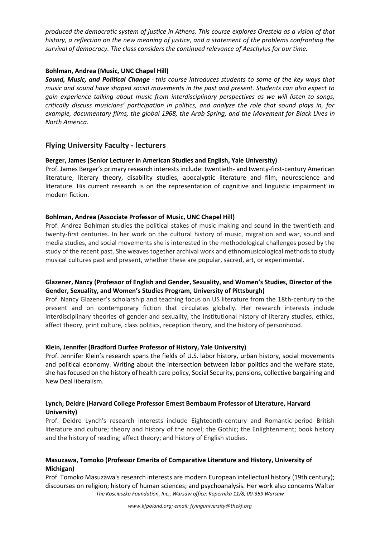*produced the democratic system of justice in Athens. This course explores Oresteia as a vision of that history, a reflection on the new meaning of justice, and a statement of the problems confronting the survival of democracy. The class considers the continued relevance of Aeschylus for our time.*

# **Bohlman, Andrea (Music, UNC Chapel Hill)**

*Sound, Music, and Political Change* - *this course introduces students to some of the key ways that music and sound have shaped social movements in the past and present. Students can also expect to gain experience talking about music from interdisciplinary perspectives as we will listen to songs, critically discuss musicians' participation in politics, and analyze the role that sound plays in, for example, documentary films, the global 1968, the Arab Spring, and the Movement for Black Lives in North America.*

# **Flying University Faculty - lecturers**

#### **Berger, James (Senior Lecturer in American Studies and English, Yale University)**

Prof. James Berger's primary research interests include: twentieth- and twenty-first-century American literature, literary theory, disability studies, apocalyptic literature and film, neuroscience and literature. His current research is on the representation of cognitive and linguistic impairment in modern fiction.

## **Bohlman, Andrea (Associate Professor of Music, UNC Chapel Hill)**

Prof. Andrea Bohlman studies the political stakes of music making and sound in the twentieth and twenty-first centuries. In her work on the cultural history of music, migration and war, sound and media studies, and social movements she is interested in the methodological challenges posed by the study of the recent past. She weaves together archival work and ethnomusicological methods to study musical cultures past and present, whether these are popular, sacred, art, or experimental.

## **Glazener, Nancy (Professor of English and Gender, Sexuality, and Women's Studies, Director of the Gender, Sexuality, and Women's Studies Program, University of Pittsburgh)**

Prof. Nancy Glazener's scholarship and teaching focus on US literature from the 18th-century to the present and on contemporary fiction that circulates globally. Her research interests include interdisciplinary theories of gender and sexuality, the institutional history of literary studies, ethics, affect theory, print culture, class politics, reception theory, and the history of personhood.

#### **Klein, Jennifer (Bradford Durfee Professor of History, Yale University)**

Prof. Jennifer Klein's research spans the fields of U.S. labor history, urban history, social movements and political economy. Writing about the intersection between labor politics and the welfare state, she has focused on the history of health care policy, Social Security, pensions, collective bargaining and New Deal liberalism.

## **Lynch, Deidre (Harvard College Professor Ernest Bernbaum Professor of Literature, Harvard University)**

Prof. Deidre Lynch's research interests include Eighteenth-century and Romantic-period British literature and culture; theory and history of the novel; the Gothic; the Enlightenment; book history and the history of reading; affect theory; and history of English studies.

## **Masuzawa, Tomoko (Professor Emerita of Comparative Literature and History, University of Michigan)**

*The Kosciuszko Foundation, Inc., Warsaw office: Kopernika 11/8, 00-359 Warsaw* Prof. Tomoko Masuzawa's research interests are modern European intellectual history (19th century); discourses on religion; history of human sciences; and psychoanalysis. Her work also concerns Walter